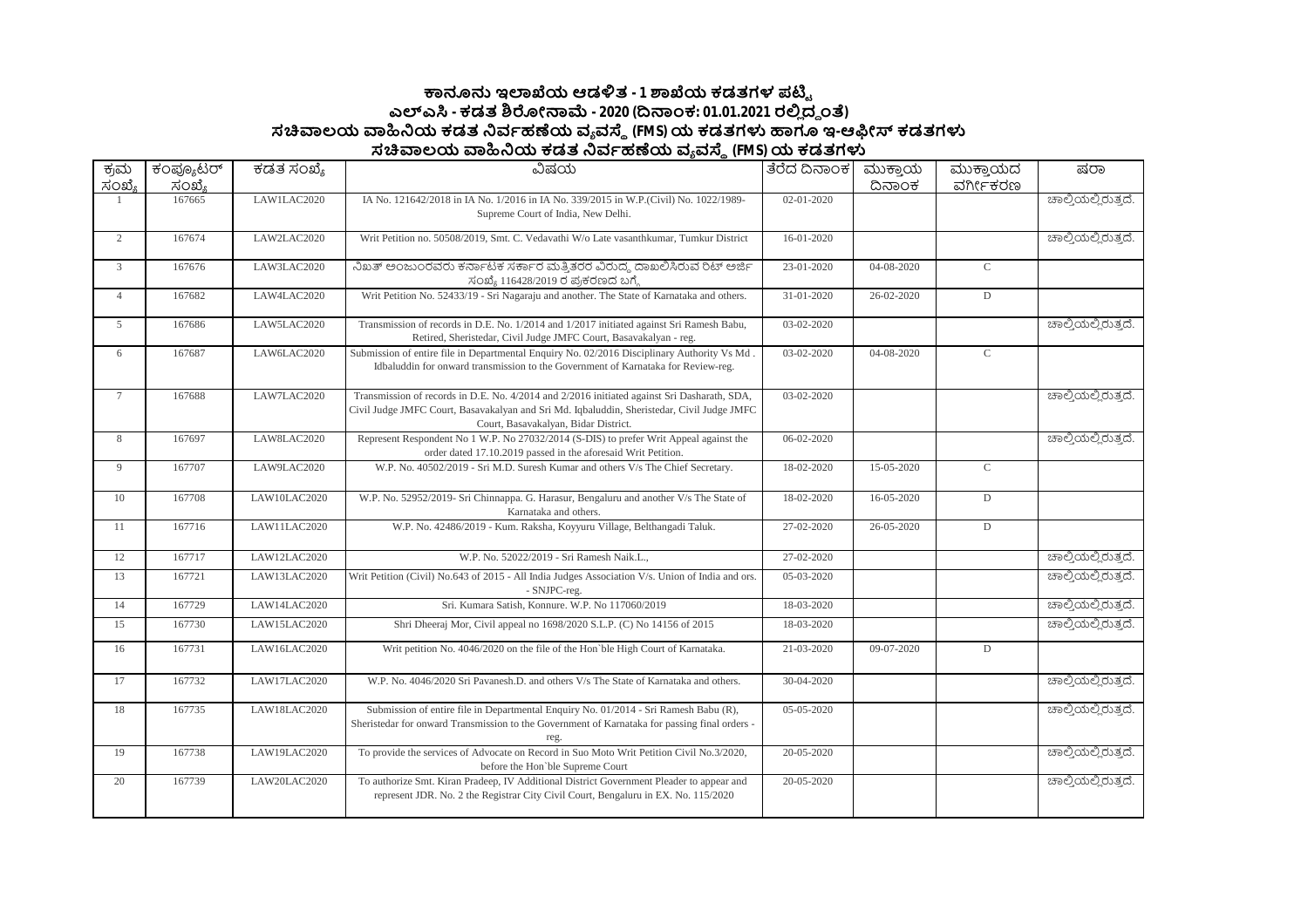## **౽ඞඝ ಇมಒಯ ಆಡัತ - 1 ๎ಒಯ ಕಡತಗಳ ಪഔౣ ಎฯ ಎ - ಕಡತ ๏ฌೕක෫ - 2020 (ൽකಂಕ: 01.01.2021 ರย ದ౪ ಂ) ಸ฿ಲಯ ฿ඛಯ ಕಡತ ඛವბಹൕಯ ವ ವ౩ (FMS)ಯ ಕಡತಗำ ಟಇ-ಆඹೕ ಕಡತಗำ ಸ฿ಲಯ ฿ඛಯ ಕಡತ ඛವბಹൕಯ ವ ವ౩ (FMS)ಯ ಕಡತಗำ**

| ಕ್ರಮ           | ಕಂಪ್ಯೂಟರ್ | ಕಡತ ಸಂಖ್ಯೆ   | ವಿಷಯ                                                                                                                                                                                                                              | ತೆರೆದ ದಿನಾಂಕ     | ಮುಕ್ತಾಯ      | ಮುಕ್ತಾಯದ       | ಷರಾ                 |
|----------------|-----------|--------------|-----------------------------------------------------------------------------------------------------------------------------------------------------------------------------------------------------------------------------------|------------------|--------------|----------------|---------------------|
| ಸಂಖ್ಯೆ         | ಸಂಖ್ಯೆ    |              |                                                                                                                                                                                                                                   |                  | ದಿನಾಂಕ       | ವರ್ಗೀಕರಣ       |                     |
|                | 167665    | LAW1LAC2020  | IA No. 121642/2018 in IA No. 1/2016 in IA No. 339/2015 in W.P.(Civil) No. 1022/1989-<br>Supreme Court of India, New Delhi.                                                                                                        | 02-01-2020       |              |                | ಚಾಲ್ತಿಯಲ್ಲಿರುತ್ತದೆ. |
| $\mathbf{2}$   | 167674    | LAW2LAC2020  | Writ Petition no. 50508/2019, Smt. C. Vedavathi W/o Late vasanthkumar, Tumkur District                                                                                                                                            | 16-01-2020       |              |                | ಚಾಲ್ತಿಯಲ್ಲಿರುತ್ತದೆ. |
| $\mathfrak{Z}$ | 167676    | LAW3LAC2020  | ನಿಖತ್ ಅಂಜುಂರವರು ಕರ್ನಾಟಕ ಸರ್ಕಾರ ಮತ್ತಿತರರ ವಿರುದ್ಧ ದಾಖಲಿಸಿರುವ ರಿಟ್ ಅರ್ಜಿ<br>ಸಂಖ್ಯೆ 116428/2019 ರ ಪ್ರಕರಣದ ಬಗ್ಗೆ                                                                                                                       | 23-01-2020       | 04-08-2020   | $\mathsf C$    |                     |
| $\overline{4}$ | 167682    | LAW4LAC2020  | Writ Petition No. 52433/19 - Sri Nagaraju and another. The State of Karnataka and others.                                                                                                                                         | 31-01-2020       | 26-02-2020   | ${\mathbb D}$  |                     |
| 5 <sup>5</sup> | 167686    | LAW5LAC2020  | Transmission of records in D.E. No. 1/2014 and 1/2017 initiated against Sri Ramesh Babu,<br>Retired, Sheristedar, Civil Judge JMFC Court, Basavakalyan - reg.                                                                     | 03-02-2020       |              |                | ಚಾಲ್ತಿಯಲ್ಲಿರುತ್ತದೆ. |
| 6              | 167687    | LAW6LAC2020  | Submission of entire file in Departmental Enquiry No. 02/2016 Disciplinary Authority Vs Md<br>Idbaluddin for onward transmission to the Government of Karnataka for Review-reg.                                                   | 03-02-2020       | 04-08-2020   | $\overline{C}$ |                     |
| $\tau$         | 167688    | LAW7LAC2020  | Transmission of records in D.E. No. 4/2014 and 2/2016 initiated against Sri Dasharath, SDA,<br>Civil Judge JMFC Court, Basavakalyan and Sri Md. Iqbaluddin, Sheristedar, Civil Judge JMFC<br>Court, Basavakalyan, Bidar District. | 03-02-2020       |              |                | ಚಾಲ್ಷಿಯಲ್ಲಿರುತ್ತದೆ. |
| 8              | 167697    | LAW8LAC2020  | Represent Respondent No 1 W.P. No 27032/2014 (S-DIS) to prefer Writ Appeal against the<br>order dated 17.10.2019 passed in the aforesaid Writ Petition.                                                                           | $06 - 02 - 2020$ |              |                | ಚಾಲ್ಷಿಯಲ್ಲಿರುತ್ತದೆ. |
| 9              | 167707    | LAW9LAC2020  | W.P. No. 40502/2019 - Sri M.D. Suresh Kumar and others V/s The Chief Secretary.                                                                                                                                                   | 18-02-2020       | $15-05-2020$ | $\mathsf{C}$   |                     |
| 10             | 167708    | LAW10LAC2020 | W.P. No. 52952/2019- Sri Chinnappa. G. Harasur, Bengaluru and another V/s The State of<br>Karnataka and others.                                                                                                                   | 18-02-2020       | 16-05-2020   | ${\mathbb D}$  |                     |
| 11             | 167716    | LAW11LAC2020 | W.P. No. 42486/2019 - Kum. Raksha, Koyyuru Village, Belthangadi Taluk.                                                                                                                                                            | 27-02-2020       | 26-05-2020   | ${\mathbb D}$  |                     |
| 12             | 167717    | LAW12LAC2020 | W.P. No. 52022/2019 - Sri Ramesh Naik.L.,                                                                                                                                                                                         | 27-02-2020       |              |                | ಚಾಲ್ತಿಯಲ್ಲಿರುತ್ತದೆ. |
| 13             | 167721    | LAW13LAC2020 | Writ Petition (Civil) No.643 of 2015 - All India Judges Association V/s. Union of India and ors.<br>- SNJPC-reg.                                                                                                                  | 05-03-2020       |              |                | ಚಾಲ್ತಿಯಲ್ಲಿರುತ್ತದೆ. |
| 14             | 167729    | LAW14LAC2020 | Sri. Kumara Satish, Konnure. W.P. No 117060/2019                                                                                                                                                                                  | 18-03-2020       |              |                | ಚಾಲ್ತಿಯಲ್ಲಿರುತ್ತದೆ. |
| 15             | 167730    | LAW15LAC2020 | Shri Dheeraj Mor, Civil appeal no 1698/2020 S.L.P. (C) No 14156 of 2015                                                                                                                                                           | 18-03-2020       |              |                | ಚಾಲ್ಕಿಯಲ್ಲಿರುತ್ತದೆ. |
| 16             | 167731    | LAW16LAC2020 | Writ petition No. 4046/2020 on the file of the Hon'ble High Court of Karnataka.                                                                                                                                                   | 21-03-2020       | 09-07-2020   | ${\mathbb D}$  |                     |
| 17             | 167732    | LAW17LAC2020 | W.P. No. 4046/2020 Sri Pavanesh.D. and others V/s The State of Karnataka and others.                                                                                                                                              | 30-04-2020       |              |                | ಚಾಲ್ತಿಯಲ್ಲಿರುತ್ತದೆ. |
| 18             | 167735    | LAW18LAC2020 | Submission of entire file in Departmental Enquiry No. 01/2014 - Sri Ramesh Babu (R),<br>Sheristedar for onward Transmission to the Government of Karnataka for passing final orders -<br>reg.                                     | 05-05-2020       |              |                | ಚಾಲ್ಕಿಯಲ್ಲಿರುತ್ತದೆ. |
| 19             | 167738    | LAW19LAC2020 | To provide the services of Advocate on Record in Suo Moto Writ Petition Civil No.3/2020,<br>before the Hon'ble Supreme Court                                                                                                      | 20-05-2020       |              |                | ಚಾಲ್ಷಿಯಲ್ಲಿರುತ್ತದೆ. |
| 20             | 167739    | LAW20LAC2020 | To authorize Smt. Kiran Pradeep, IV Additional District Government Pleader to appear and<br>represent JDR. No. 2 the Registrar City Civil Court, Bengaluru in EX. No. 115/2020                                                    | 20-05-2020       |              |                | ಚಾಲ್ತಿಯಲ್ಲಿರುತ್ತದೆ. |